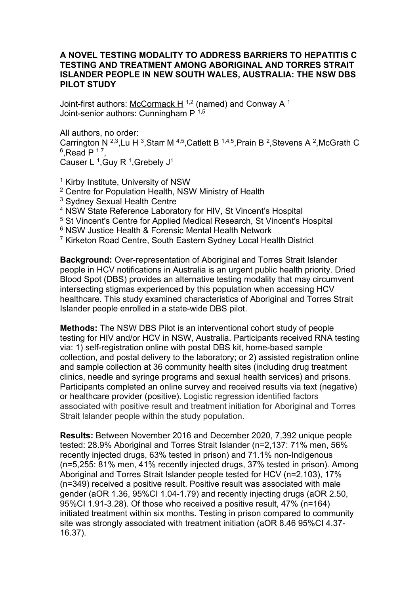## **A NOVEL TESTING MODALITY TO ADDRESS BARRIERS TO HEPATITIS C TESTING AND TREATMENT AMONG ABORIGINAL AND TORRES STRAIT ISLANDER PEOPLE IN NEW SOUTH WALES, AUSTRALIA: THE NSW DBS PILOT STUDY**

Joint-first authors: McCormack H  $1,2$  (named) and Conway A  $1$ Joint-senior authors: Cunningham  $P^{-1,5}$ 

All authors, no order: Carrington N  $^{2,3}$ , Lu H  $^3$ , Starr M  $^{4,5}$ , Catlett B  $^{1,4,5}$ , Prain B  $^2$ , Stevens A  $^2$ , McGrath C  $6$ , Read P  $1,7$ Causer L<sup>1</sup>, Guy R<sup>1</sup>, Grebely  $J<sup>1</sup>$ 

<sup>1</sup> Kirby Institute, University of NSW

- <sup>2</sup> Centre for Population Health, NSW Ministry of Health
- <sup>3</sup> Sydney Sexual Health Centre
- <sup>4</sup> NSW State Reference Laboratory for HIV, St Vincent's Hospital
- <sup>5</sup> St Vincent's Centre for Applied Medical Research, St Vincent's Hospital
- <sup>6</sup> NSW Justice Health & Forensic Mental Health Network
- <sup>7</sup> Kirketon Road Centre, South Eastern Sydney Local Health District

**Background:** Over-representation of Aboriginal and Torres Strait Islander people in HCV notifications in Australia is an urgent public health priority. Dried Blood Spot (DBS) provides an alternative testing modality that may circumvent intersecting stigmas experienced by this population when accessing HCV healthcare. This study examined characteristics of Aboriginal and Torres Strait Islander people enrolled in a state-wide DBS pilot.

**Methods:** The NSW DBS Pilot is an interventional cohort study of people testing for HIV and/or HCV in NSW, Australia. Participants received RNA testing via: 1) self-registration online with postal DBS kit, home-based sample collection, and postal delivery to the laboratory; or 2) assisted registration online and sample collection at 36 community health sites (including drug treatment clinics, needle and syringe programs and sexual health services) and prisons. Participants completed an online survey and received results via text (negative) or healthcare provider (positive). Logistic regression identified factors associated with positive result and treatment initiation for Aboriginal and Torres Strait Islander people within the study population.

**Results:** Between November 2016 and December 2020, 7,392 unique people tested: 28.9% Aboriginal and Torres Strait Islander (n=2,137: 71% men, 56% recently injected drugs, 63% tested in prison) and 71.1% non-Indigenous (n=5,255: 81% men, 41% recently injected drugs, 37% tested in prison). Among Aboriginal and Torres Strait Islander people tested for HCV (n=2,103), 17% (n=349) received a positive result. Positive result was associated with male gender (aOR 1.36, 95%CI 1.04-1.79) and recently injecting drugs (aOR 2.50, 95%CI 1.91-3.28). Of those who received a positive result, 47% (n=164) initiated treatment within six months. Testing in prison compared to community site was strongly associated with treatment initiation (aOR 8.46 95%CI 4.37- 16.37).